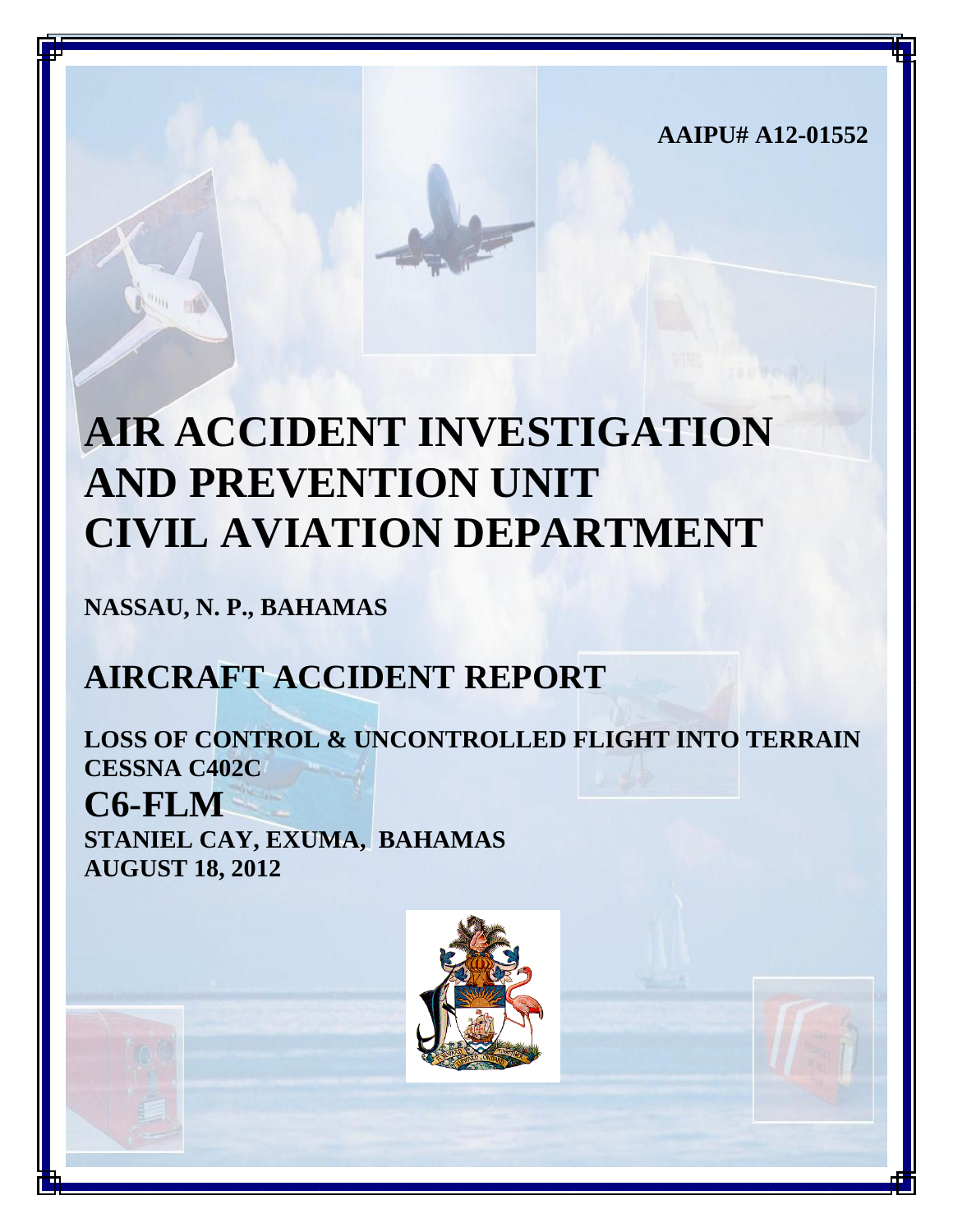**AAIPU# A12-01552**

# **AIR ACCIDENT INVESTIGATION AND PREVENTION UNIT CIVIL AVIATION DEPARTMENT**

**NASSAU, N. P., BAHAMAS**

# **AIRCRAFT ACCIDENT REPORT**

**LOSS OF CONTROL & UNCONTROLLED FLIGHT INTO TERRAIN CESSNA C402C C6-FLM STANIEL CAY, EXUMA, BAHAMAS AUGUST 18, 2012**

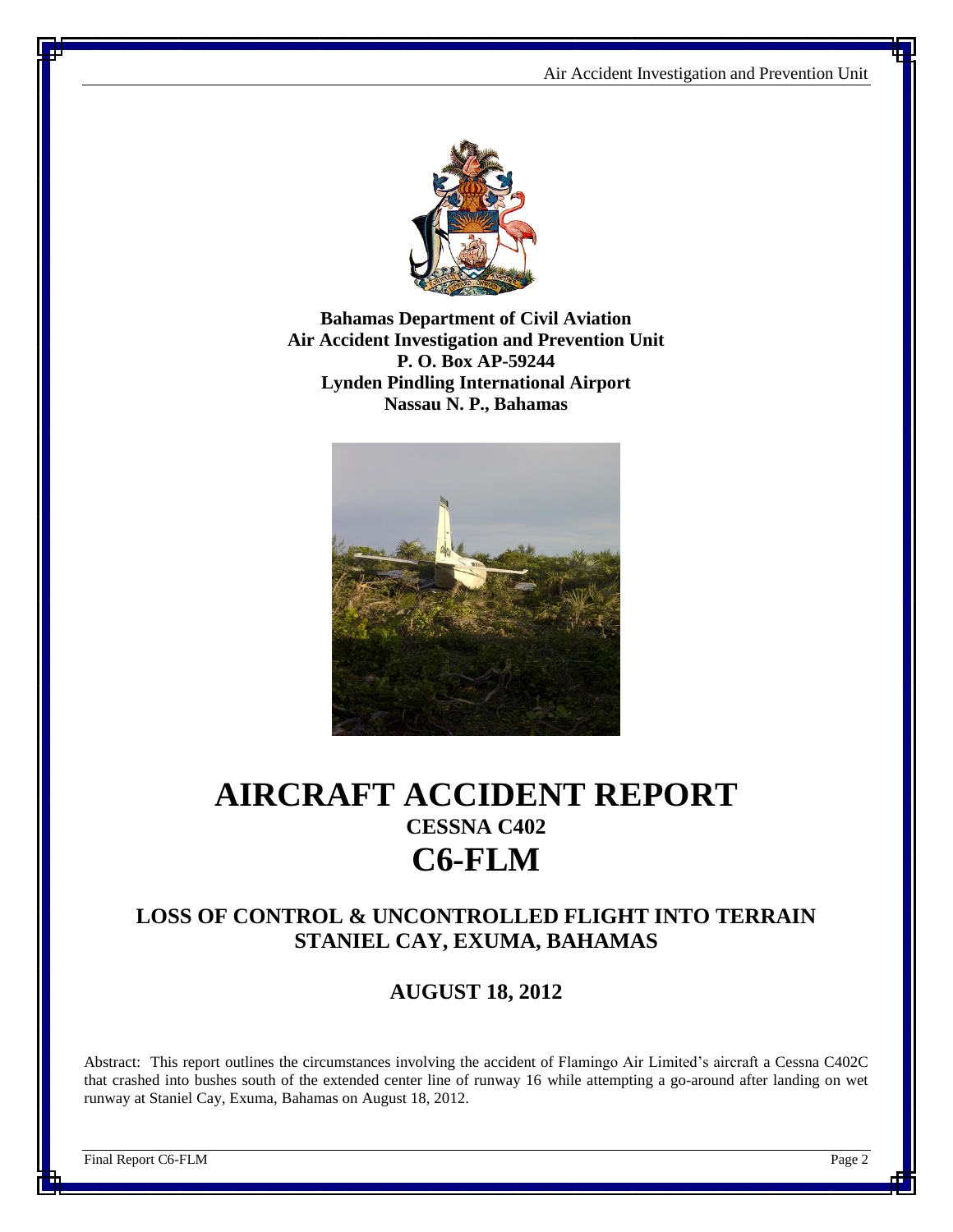

**Bahamas Department of Civil Aviation Air Accident Investigation and Prevention Unit P. O. Box AP-59244 Lynden Pindling International Airport Nassau N. P., Bahamas**



## **AIRCRAFT ACCIDENT REPORT CESSNA C402 C6-FLM**

#### **LOSS OF CONTROL & UNCONTROLLED FLIGHT INTO TERRAIN STANIEL CAY, EXUMA, BAHAMAS**

**AUGUST 18, 2012**

Abstract: This report outlines the circumstances involving the accident of Flamingo Air Limited's aircraft a Cessna C402C that crashed into bushes south of the extended center line of runway 16 while attempting a go-around after landing on wet runway at Staniel Cay, Exuma, Bahamas on August 18, 2012.

Final Report C6-FLM Page 2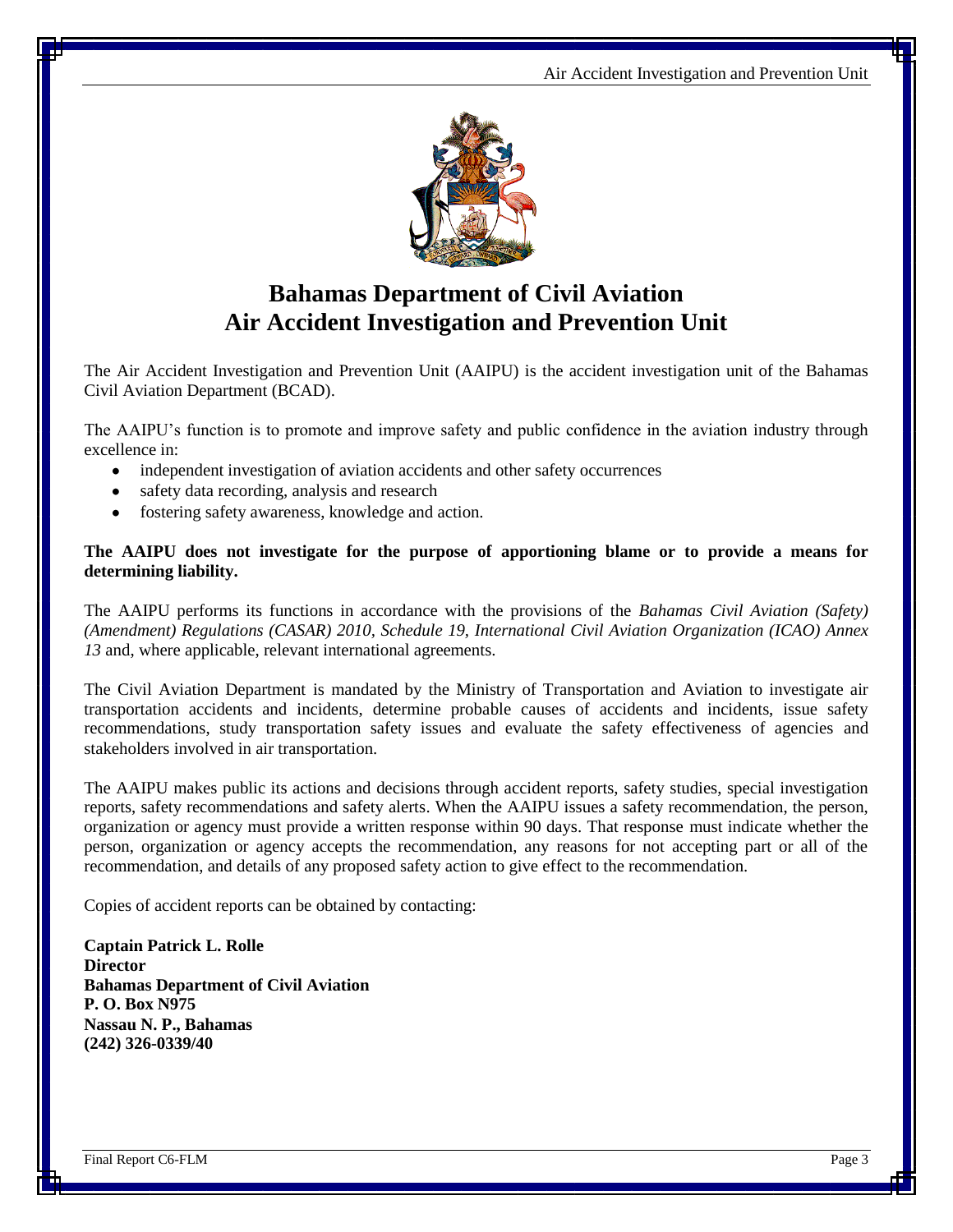

## **Bahamas Department of Civil Aviation Air Accident Investigation and Prevention Unit**

The Air Accident Investigation and Prevention Unit (AAIPU) is the accident investigation unit of the Bahamas Civil Aviation Department (BCAD).

The AAIPU's function is to promote and improve safety and public confidence in the aviation industry through excellence in:

- independent investigation of aviation accidents and other safety occurrences
- safety data recording, analysis and research
- fostering safety awareness, knowledge and action.

#### **The AAIPU does not investigate for the purpose of apportioning blame or to provide a means for determining liability.**

The AAIPU performs its functions in accordance with the provisions of the *Bahamas Civil Aviation (Safety) (Amendment) Regulations (CASAR) 2010, Schedule 19, International Civil Aviation Organization (ICAO) Annex 13* and, where applicable, relevant international agreements.

The Civil Aviation Department is mandated by the Ministry of Transportation and Aviation to investigate air transportation accidents and incidents, determine probable causes of accidents and incidents, issue safety recommendations, study transportation safety issues and evaluate the safety effectiveness of agencies and stakeholders involved in air transportation.

The AAIPU makes public its actions and decisions through accident reports, safety studies, special investigation reports, safety recommendations and safety alerts. When the AAIPU issues a safety recommendation, the person, organization or agency must provide a written response within 90 days. That response must indicate whether the person, organization or agency accepts the recommendation, any reasons for not accepting part or all of the recommendation, and details of any proposed safety action to give effect to the recommendation.

Copies of accident reports can be obtained by contacting:

**Captain Patrick L. Rolle Director Bahamas Department of Civil Aviation P. O. Box N975 Nassau N. P., Bahamas (242) 326-0339/40**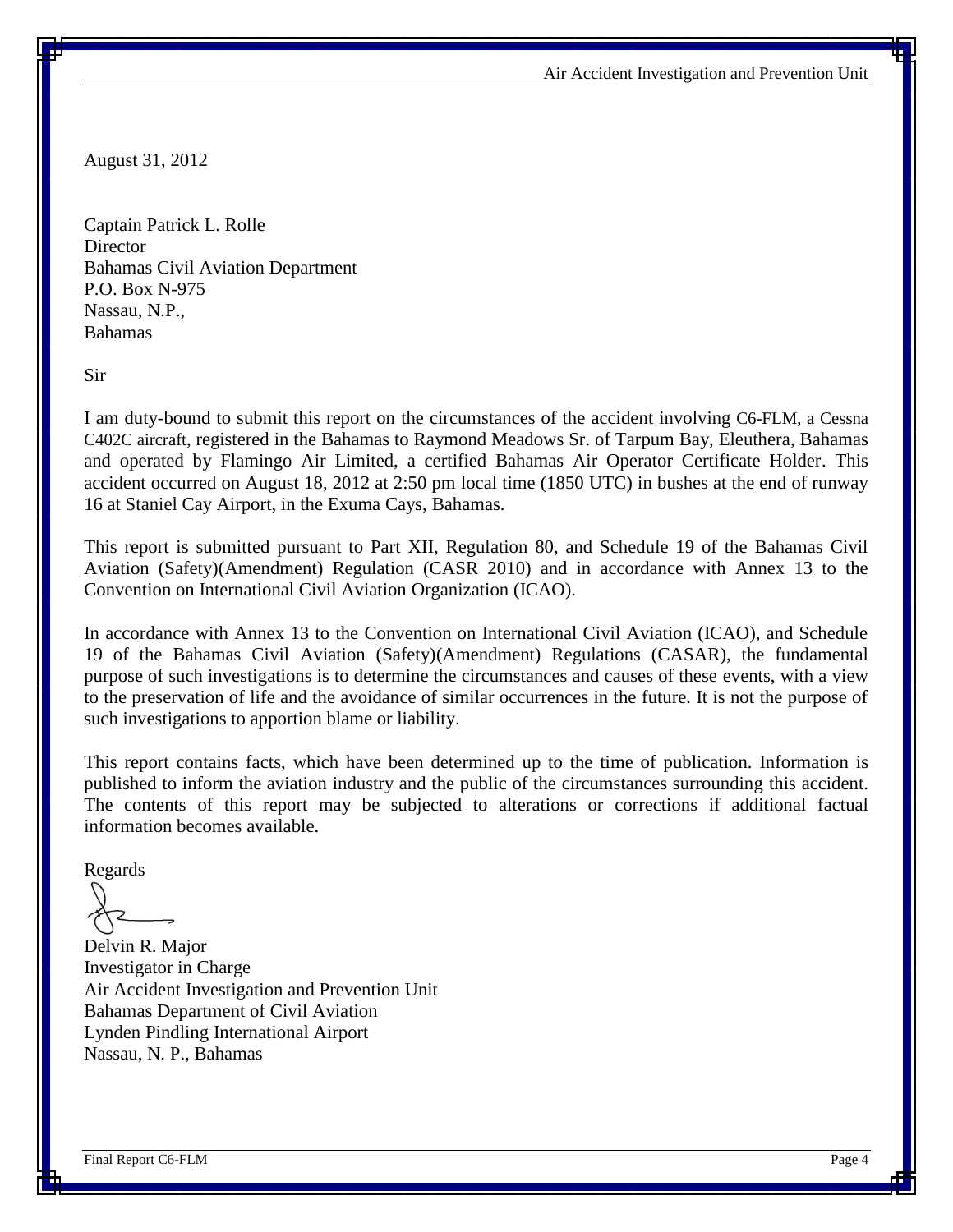Air Accident Investigation and Prevention Unit

August 31, 2012

Captain Patrick L. Rolle **Director** Bahamas Civil Aviation Department P.O. Box N-975 Nassau, N.P., Bahamas

Sir

I am duty-bound to submit this report on the circumstances of the accident involving C6-FLM, a Cessna C402C aircraft, registered in the Bahamas to Raymond Meadows Sr. of Tarpum Bay, Eleuthera, Bahamas and operated by Flamingo Air Limited, a certified Bahamas Air Operator Certificate Holder. This accident occurred on August 18, 2012 at 2:50 pm local time (1850 UTC) in bushes at the end of runway 16 at Staniel Cay Airport, in the Exuma Cays, Bahamas.

This report is submitted pursuant to Part XII, Regulation 80, and Schedule 19 of the Bahamas Civil Aviation (Safety)(Amendment) Regulation (CASR 2010) and in accordance with Annex 13 to the Convention on International Civil Aviation Organization (ICAO).

In accordance with Annex 13 to the Convention on International Civil Aviation (ICAO), and Schedule 19 of the Bahamas Civil Aviation (Safety)(Amendment) Regulations (CASAR), the fundamental purpose of such investigations is to determine the circumstances and causes of these events, with a view to the preservation of life and the avoidance of similar occurrences in the future. It is not the purpose of such investigations to apportion blame or liability.

This report contains facts, which have been determined up to the time of publication. Information is published to inform the aviation industry and the public of the circumstances surrounding this accident. The contents of this report may be subjected to alterations or corrections if additional factual information becomes available.

Regards

Delvin R. Major Investigator in Charge Air Accident Investigation and Prevention Unit Bahamas Department of Civil Aviation Lynden Pindling International Airport Nassau, N. P., Bahamas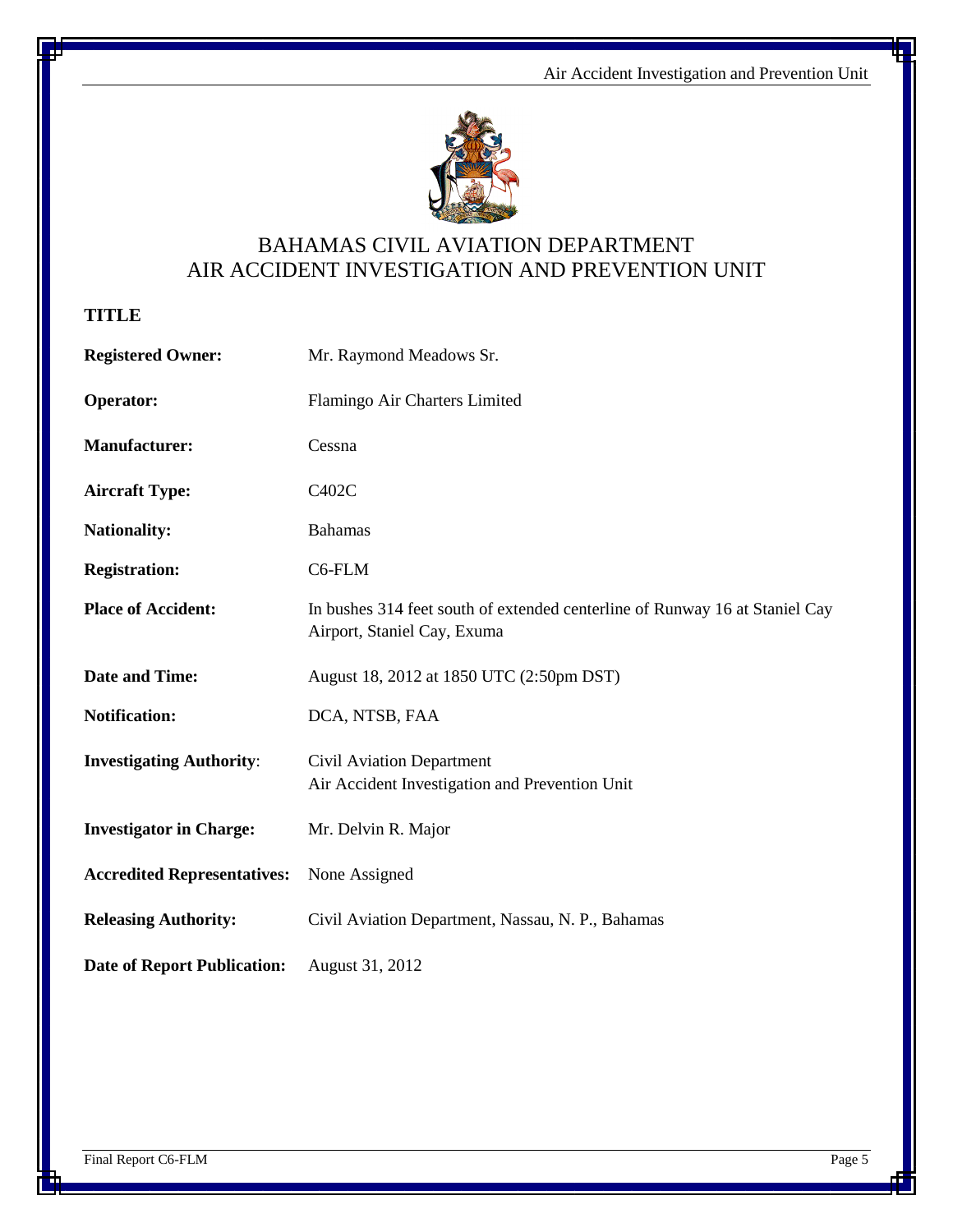

### BAHAMAS CIVIL AVIATION DEPARTMENT AIR ACCIDENT INVESTIGATION AND PREVENTION UNIT

**TITLE**

| <b>Registered Owner:</b>           | Mr. Raymond Meadows Sr.                                                                                    |
|------------------------------------|------------------------------------------------------------------------------------------------------------|
| Operator:                          | Flamingo Air Charters Limited                                                                              |
| <b>Manufacturer:</b>               | Cessna                                                                                                     |
| <b>Aircraft Type:</b>              | C402C                                                                                                      |
| <b>Nationality:</b>                | <b>Bahamas</b>                                                                                             |
| <b>Registration:</b>               | C6-FLM                                                                                                     |
| <b>Place of Accident:</b>          | In bushes 314 feet south of extended centerline of Runway 16 at Staniel Cay<br>Airport, Staniel Cay, Exuma |
| <b>Date and Time:</b>              | August 18, 2012 at 1850 UTC (2:50pm DST)                                                                   |
| <b>Notification:</b>               | DCA, NTSB, FAA                                                                                             |
| <b>Investigating Authority:</b>    | Civil Aviation Department<br>Air Accident Investigation and Prevention Unit                                |
| <b>Investigator in Charge:</b>     | Mr. Delvin R. Major                                                                                        |
| <b>Accredited Representatives:</b> | None Assigned                                                                                              |
| <b>Releasing Authority:</b>        | Civil Aviation Department, Nassau, N. P., Bahamas                                                          |
| <b>Date of Report Publication:</b> | August 31, 2012                                                                                            |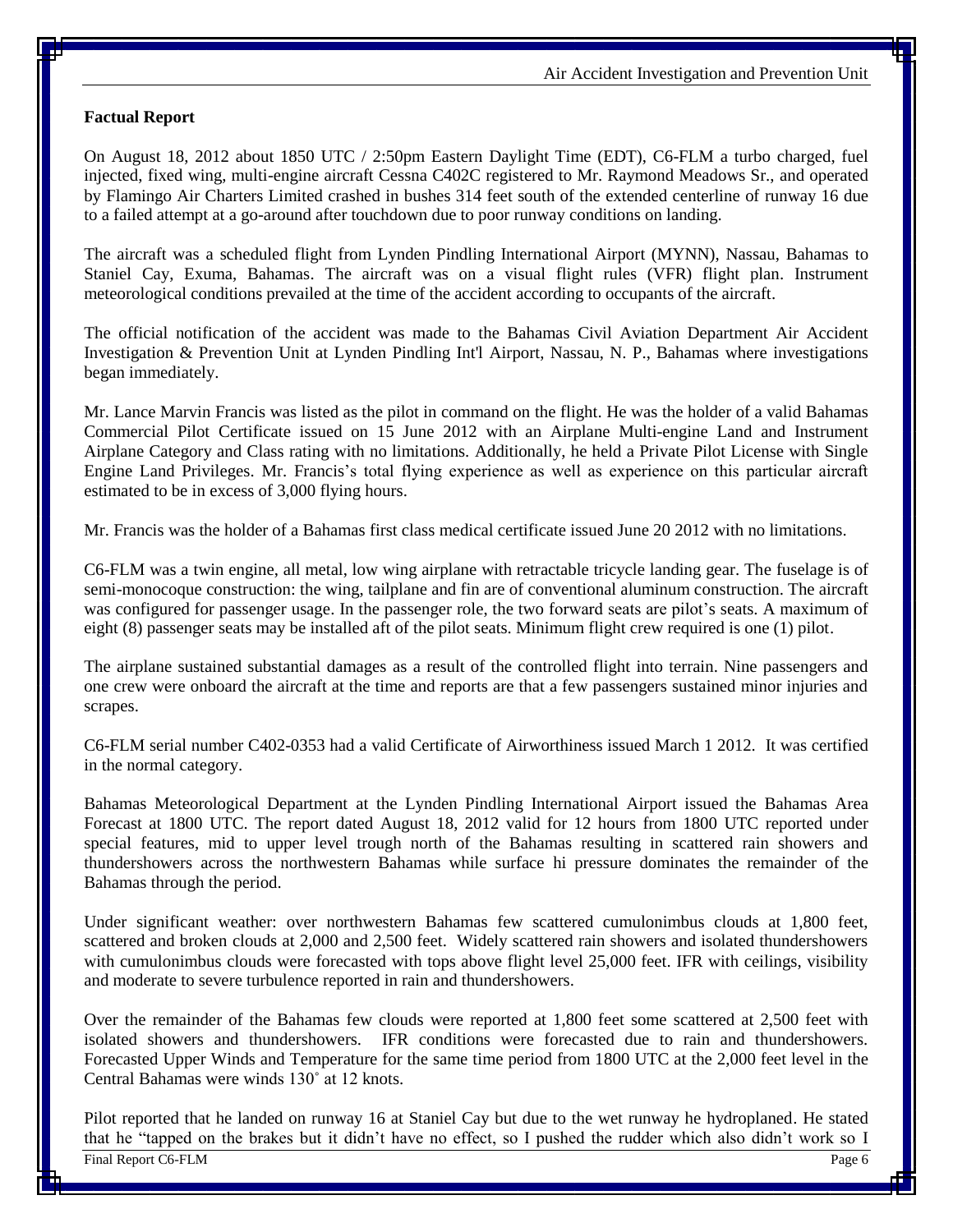#### **Factual Report**

On August 18, 2012 about 1850 UTC / 2:50pm Eastern Daylight Time (EDT), C6-FLM a turbo charged, fuel injected, fixed wing, multi-engine aircraft Cessna C402C registered to Mr. Raymond Meadows Sr., and operated by Flamingo Air Charters Limited crashed in bushes 314 feet south of the extended centerline of runway 16 due to a failed attempt at a go-around after touchdown due to poor runway conditions on landing.

The aircraft was a scheduled flight from Lynden Pindling International Airport (MYNN), Nassau, Bahamas to Staniel Cay, Exuma, Bahamas. The aircraft was on a visual flight rules (VFR) flight plan. Instrument meteorological conditions prevailed at the time of the accident according to occupants of the aircraft.

The official notification of the accident was made to the Bahamas Civil Aviation Department Air Accident Investigation & Prevention Unit at Lynden Pindling Int'l Airport, Nassau, N. P., Bahamas where investigations began immediately.

Mr. Lance Marvin Francis was listed as the pilot in command on the flight. He was the holder of a valid Bahamas Commercial Pilot Certificate issued on 15 June 2012 with an Airplane Multi-engine Land and Instrument Airplane Category and Class rating with no limitations. Additionally, he held a Private Pilot License with Single Engine Land Privileges. Mr. Francis's total flying experience as well as experience on this particular aircraft estimated to be in excess of 3,000 flying hours.

Mr. Francis was the holder of a Bahamas first class medical certificate issued June 20 2012 with no limitations.

C6-FLM was a twin engine, all metal, low wing airplane with retractable tricycle landing gear. The fuselage is of semi-monocoque construction: the wing, tailplane and fin are of conventional aluminum construction. The aircraft was configured for passenger usage. In the passenger role, the two forward seats are pilot's seats. A maximum of eight (8) passenger seats may be installed aft of the pilot seats. Minimum flight crew required is one (1) pilot.

The airplane sustained substantial damages as a result of the controlled flight into terrain. Nine passengers and one crew were onboard the aircraft at the time and reports are that a few passengers sustained minor injuries and scrapes.

C6-FLM serial number C402-0353 had a valid Certificate of Airworthiness issued March 1 2012. It was certified in the normal category.

Bahamas Meteorological Department at the Lynden Pindling International Airport issued the Bahamas Area Forecast at 1800 UTC. The report dated August 18, 2012 valid for 12 hours from 1800 UTC reported under special features, mid to upper level trough north of the Bahamas resulting in scattered rain showers and thundershowers across the northwestern Bahamas while surface hi pressure dominates the remainder of the Bahamas through the period.

Under significant weather: over northwestern Bahamas few scattered cumulonimbus clouds at 1,800 feet, scattered and broken clouds at 2,000 and 2,500 feet. Widely scattered rain showers and isolated thundershowers with cumulonimbus clouds were forecasted with tops above flight level 25,000 feet. IFR with ceilings, visibility and moderate to severe turbulence reported in rain and thundershowers.

Over the remainder of the Bahamas few clouds were reported at 1,800 feet some scattered at 2,500 feet with isolated showers and thundershowers. IFR conditions were forecasted due to rain and thundershowers. Forecasted Upper Winds and Temperature for the same time period from 1800 UTC at the 2,000 feet level in the Central Bahamas were winds 130˚ at 12 knots.

Final Report C6-FLM Page 6 Pilot reported that he landed on runway 16 at Staniel Cay but due to the wet runway he hydroplaned. He stated that he "tapped on the brakes but it didn't have no effect, so I pushed the rudder which also didn't work so I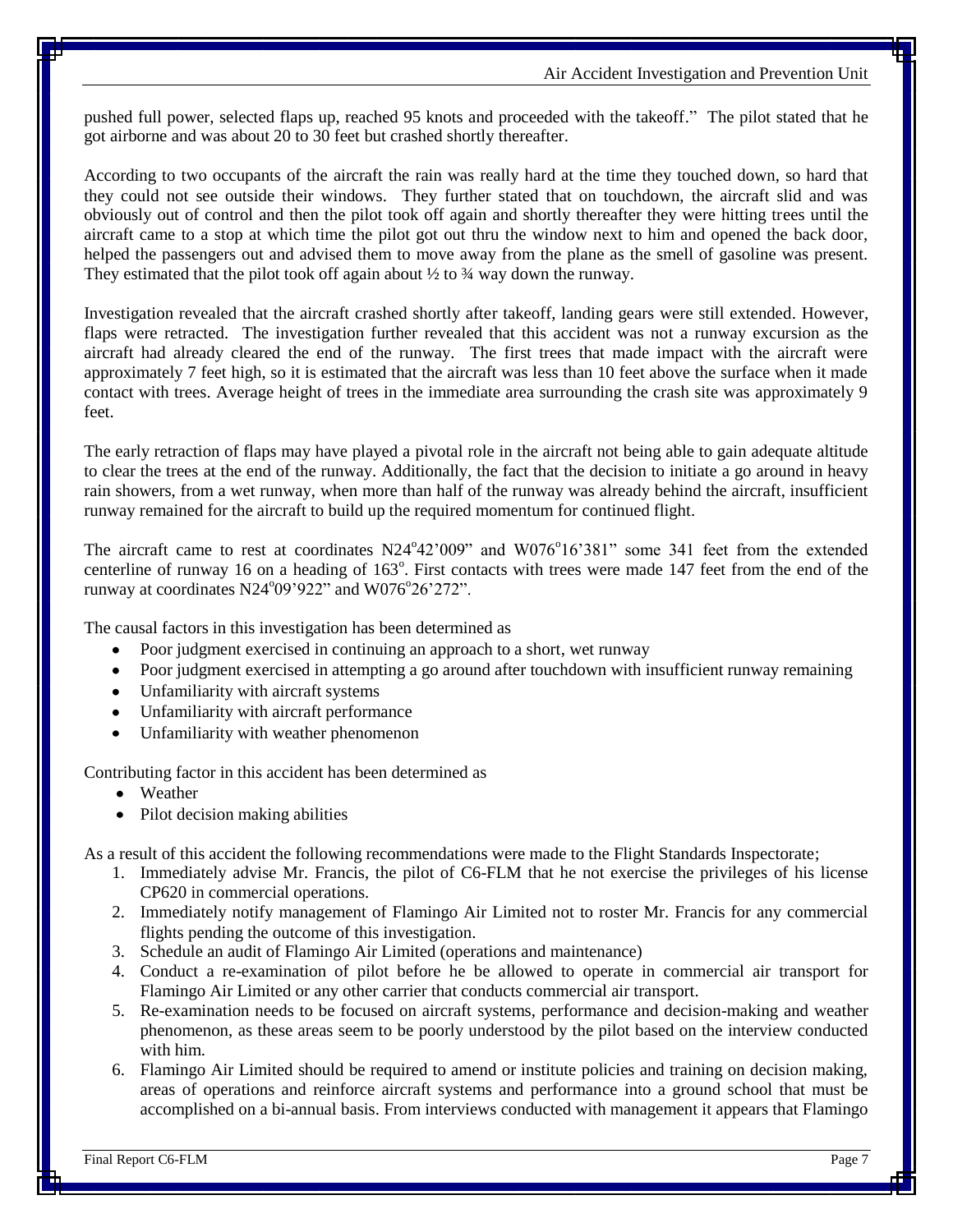pushed full power, selected flaps up, reached 95 knots and proceeded with the takeoff." The pilot stated that he got airborne and was about 20 to 30 feet but crashed shortly thereafter.

According to two occupants of the aircraft the rain was really hard at the time they touched down, so hard that they could not see outside their windows. They further stated that on touchdown, the aircraft slid and was obviously out of control and then the pilot took off again and shortly thereafter they were hitting trees until the aircraft came to a stop at which time the pilot got out thru the window next to him and opened the back door, helped the passengers out and advised them to move away from the plane as the smell of gasoline was present. They estimated that the pilot took off again about  $\frac{1}{2}$  to  $\frac{3}{4}$  way down the runway.

Investigation revealed that the aircraft crashed shortly after takeoff, landing gears were still extended. However, flaps were retracted. The investigation further revealed that this accident was not a runway excursion as the aircraft had already cleared the end of the runway. The first trees that made impact with the aircraft were approximately 7 feet high, so it is estimated that the aircraft was less than 10 feet above the surface when it made contact with trees. Average height of trees in the immediate area surrounding the crash site was approximately 9 feet.

The early retraction of flaps may have played a pivotal role in the aircraft not being able to gain adequate altitude to clear the trees at the end of the runway. Additionally, the fact that the decision to initiate a go around in heavy rain showers, from a wet runway, when more than half of the runway was already behind the aircraft, insufficient runway remained for the aircraft to build up the required momentum for continued flight.

The aircraft came to rest at coordinates N24°42'009" and W076°16'381" some 341 feet from the extended centerline of runway 16 on a heading of 163<sup>°</sup>. First contacts with trees were made 147 feet from the end of the runway at coordinates  $N24^{\circ}09'922"$  and  $W076^{\circ}26'272"$ .

The causal factors in this investigation has been determined as

- Poor judgment exercised in continuing an approach to a short, wet runway
- Poor judgment exercised in attempting a go around after touchdown with insufficient runway remaining
- Unfamiliarity with aircraft systems
- Unfamiliarity with aircraft performance
- Unfamiliarity with weather phenomenon  $\bullet$

Contributing factor in this accident has been determined as

- Weather
- Pilot decision making abilities

As a result of this accident the following recommendations were made to the Flight Standards Inspectorate;

- 1. Immediately advise Mr. Francis, the pilot of C6-FLM that he not exercise the privileges of his license CP620 in commercial operations.
- 2. Immediately notify management of Flamingo Air Limited not to roster Mr. Francis for any commercial flights pending the outcome of this investigation.
- 3. Schedule an audit of Flamingo Air Limited (operations and maintenance)
- 4. Conduct a re-examination of pilot before he be allowed to operate in commercial air transport for Flamingo Air Limited or any other carrier that conducts commercial air transport.
- 5. Re-examination needs to be focused on aircraft systems, performance and decision-making and weather phenomenon, as these areas seem to be poorly understood by the pilot based on the interview conducted with him.
- 6. Flamingo Air Limited should be required to amend or institute policies and training on decision making, areas of operations and reinforce aircraft systems and performance into a ground school that must be accomplished on a bi-annual basis. From interviews conducted with management it appears that Flamingo